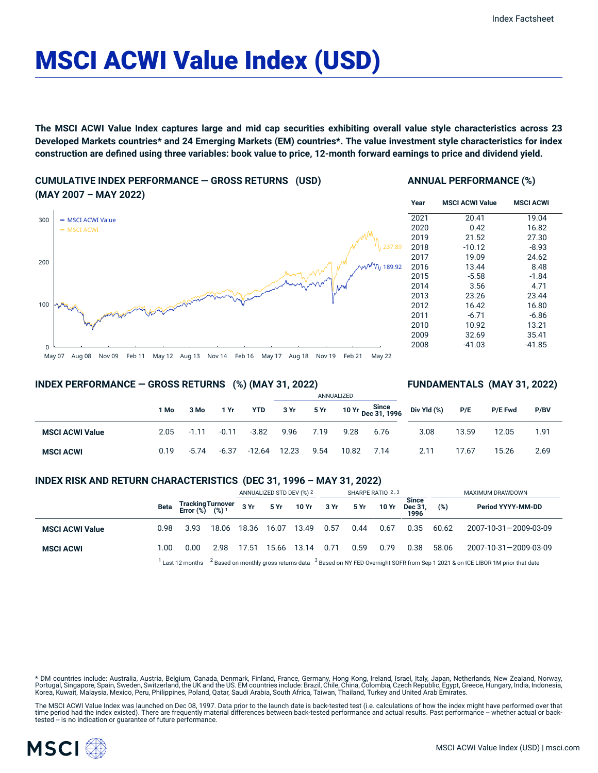# MSCI ACWI Value Index (USD)

The MSCI ACWI Value Index captures large and mid cap securities exhibiting overall value style characteristics across 23 Developed Markets countries\* and 24 Emerging Markets (EM) countries\*. The value investment style characteristics for index construction are defined using three variables: book value to price, 12-month forward earnings to price and dividend yield.

**CUMULATIVE INDEX PERFORMANCE — GROSS RETURNS (USD) (MAY 2007 – MAY 2022)**



#### **ANNUAL PERFORMANCE (%)**

| Year | <b>MSCI ACWI Value</b> | <b>MSCI ACWI</b> |
|------|------------------------|------------------|
| 2021 | 20.41                  | 19.04            |
| 2020 | 0.42                   | 16.82            |
| 2019 | 21.52                  | 27.30            |
| 2018 | $-10.12$               | $-8.93$          |
| 2017 | 19.09                  | 24.62            |
| 2016 | 13.44                  | 8.48             |
| 2015 | $-5.58$                | $-1.84$          |
| 2014 | 3.56                   | 4.71             |
| 2013 | 23.26                  | 23.44            |
| 2012 | 16.42                  | 16.80            |
| 2011 | $-6.71$                | $-6.86$          |
| 2010 | 10.92                  | 13.21            |
| 2009 | 32.69                  | 35.41            |
| 2008 | -41.03                 | -41.85           |

**INDEX PERFORMANCE — GROSS RETURNS (%) (MAY 31, 2022)**

#### **FUNDAMENTALS (MAY 31, 2022)**

|                        |      |         |         |            | ANNUALIZED |      |       |      |                                                                        |       |                |      |
|------------------------|------|---------|---------|------------|------------|------|-------|------|------------------------------------------------------------------------|-------|----------------|------|
|                        | 1 Mo | 3 Mo    | 1 Yr    | <b>YTD</b> | 3 Yr       |      |       |      | $5$ Yr $10$ Yr $\frac{\text{Since}}{\text{Dec } 31, 1996}$ Div Yld (%) | P/E   | <b>P/E Fwd</b> | P/BV |
| <b>MSCI ACWI Value</b> | 2.05 | $-1.11$ | $-0.11$ | $-3.82$    | 9.96       | 7.19 | 9.28  | 6.76 | 3.08                                                                   | 13.59 | 12.05          | 1.91 |
| <b>MSCI ACWI</b>       | 0.19 | $-5.74$ | $-6.37$ | -12.64     | 12.23      | 9.54 | 10.82 | 7.14 | 2.11                                                                   | 17.67 | 15.26          | 2.69 |

#### **INDEX RISK AND RETURN CHARACTERISTICS (DEC 31, 1996 – MAY 31, 2022)**

|                        |                                                                                                                                                     |                                           |       | ANNUALIZED STD DEV (%) 2 |             | SHARPE RATIO 2,3     |      |      |       | MAXIMUM DRAWDOWN                |       |                       |
|------------------------|-----------------------------------------------------------------------------------------------------------------------------------------------------|-------------------------------------------|-------|--------------------------|-------------|----------------------|------|------|-------|---------------------------------|-------|-----------------------|
|                        |                                                                                                                                                     | Beta Tracking Turnover<br>Error (%) (%) 1 |       |                          |             | 3 Yr 5 Yr 10 Yr 3 Yr |      | 5 Yr | 10 Yr | <b>Since</b><br>Dec 31.<br>1996 | (%)   | Period YYYY-MM-DD     |
| <b>MSCI ACWI Value</b> | 0.98                                                                                                                                                | 3.93                                      | 18.06 | 18.36                    | 16.07       | 13.49                | 0.57 | 0.44 | 0.67  | 0.35                            | 60.62 | 2007-10-31-2009-03-09 |
| <b>MSCI ACWI</b>       | 1.00                                                                                                                                                | 0.00                                      | 2.98  | 17.51                    | 15.66 13.14 |                      | 0.71 | 0.59 | 0.79  | 0.38                            | 58.06 | 2007-10-31-2009-03-09 |
|                        | Last 12 months $^{-2}$ Based on monthly gross returns data $^{-3}$ Based on NY FED Overnight SOFR from Sep 1 2021 & on ICE LIBOR 1M prior that date |                                           |       |                          |             |                      |      |      |       |                                 |       |                       |

\* DM countries include: Australia, Austria, Belgium, Canada, Denmark, Finland, France, Germany, Hong Kong, Ireland, Israel, Italy, Japan, Netherlands, New Zealand, Norway, Portugal, Singapore, Spain, Sweden, Switzerland, the UK and the US. EM countries include: Brazil, Chile, China, Colombia, Czech Republic, Egypt, Greece, Hungary, India, Indonesia, Korea, Kuwait, Malaysia, Mexico, Peru, Philippines, Poland, Qatar, Saudi Arabia, South Africa, Taiwan, Thailand, Turkey and United Arab Emirates.

The MSCI ACWI Value Index was launched on Dec 08, 1997. Data prior to the launch date is back-tested test (i.e. calculations of how the index might have performed over that time period had the index existed). There are frequently material differences between back-tested performance and actual results. Past performance – whether actual or back-<br>tested – is no indication or guarantee of future

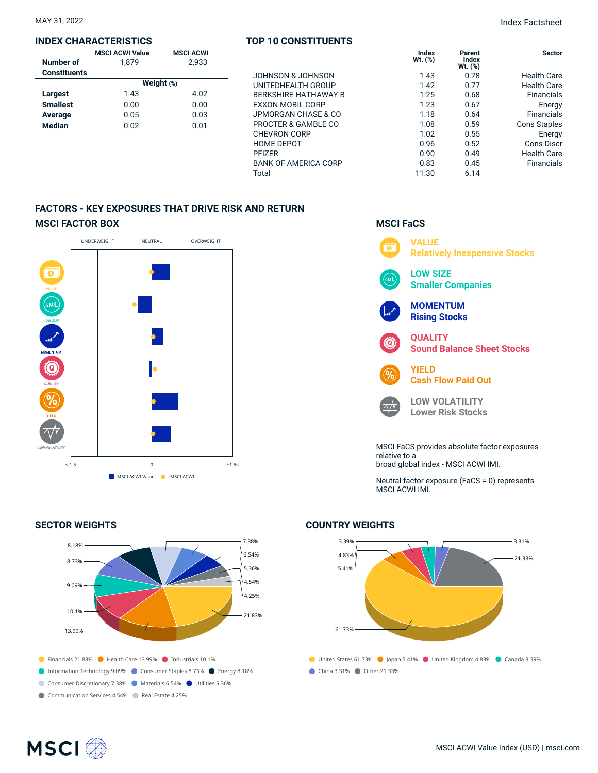#### **INDEX CHARACTERISTICS**

|                     | <b>MSCI ACWI Value</b> | <b>MSCI ACWI</b> |  |  |  |  |  |
|---------------------|------------------------|------------------|--|--|--|--|--|
| Number of           | 1.879                  | 2.933            |  |  |  |  |  |
| <b>Constituents</b> |                        |                  |  |  |  |  |  |
|                     | Weight $(*)$           |                  |  |  |  |  |  |
| Largest             | 1.43                   | 4.02             |  |  |  |  |  |
| <b>Smallest</b>     | 0.00                   | 0.00             |  |  |  |  |  |
| Average             | 0.05                   | 0.03             |  |  |  |  |  |
| <b>Median</b>       | 0.02                   | 0.01             |  |  |  |  |  |

#### **TOP 10 CONSTITUENTS**

MAY 31, 2022 Index Factsheet

|                             | Index<br>$Wt.$ $(\%)$ | Parent<br>Index<br>Wt. (%) | <b>Sector</b>      |
|-----------------------------|-----------------------|----------------------------|--------------------|
| JOHNSON & JOHNSON           | 1.43                  | 0.78                       | <b>Health Care</b> |
| UNITEDHEALTH GROUP          | 1.42                  | 0.77                       | <b>Health Care</b> |
| <b>BERKSHIRE HATHAWAY B</b> | 1.25                  | 0.68                       | <b>Financials</b>  |
| <b>EXXON MOBIL CORP</b>     | 1.23                  | 0.67                       | Energy             |
| JPMORGAN CHASE & CO         | 1.18                  | 0.64                       | <b>Financials</b>  |
| PROCTER & GAMBLE CO         | 1.08                  | 0.59                       | Cons Staples       |
| <b>CHEVRON CORP</b>         | 1.02                  | 0.55                       | Energy             |
| <b>HOME DEPOT</b>           | 0.96                  | 0.52                       | Cons Discr         |
| <b>PFIZER</b>               | 0.90                  | 0.49                       | <b>Health Care</b> |
| <b>BANK OF AMERICA CORP</b> | 0.83                  | 0.45                       | <b>Financials</b>  |
| Total                       | 11.30                 | 6.14                       |                    |

### **FACTORS - KEY EXPOSURES THAT DRIVE RISK AND RETURN MSCI FACTOR BOX**



#### **SECTOR WEIGHTS**



#### **MSCI FaCS**



Neutral factor exposure (FaCS = 0) represents MSCI ACWI IMI.

#### **COUNTRY WEIGHTS**



## **MSCI**<sup></sup>